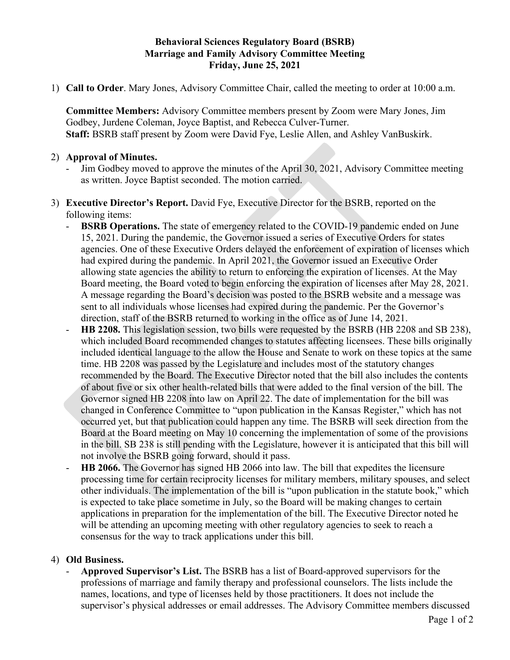## **Behavioral Sciences Regulatory Board (BSRB) Marriage and Family Advisory Committee Meeting Friday, June 25, 2021**

1) **Call to Order**. Mary Jones, Advisory Committee Chair, called the meeting to order at 10:00 a.m.

**Committee Members:** Advisory Committee members present by Zoom were Mary Jones, Jim Godbey, Jurdene Coleman, Joyce Baptist, and Rebecca Culver-Turner. **Staff:** BSRB staff present by Zoom were David Fye, Leslie Allen, and Ashley VanBuskirk.

## 2) **Approval of Minutes.**

- Jim Godbey moved to approve the minutes of the April 30, 2021, Advisory Committee meeting as written. Joyce Baptist seconded. The motion carried.
- 3) **Executive Director's Report.** David Fye, Executive Director for the BSRB, reported on the following items:
	- **BSRB Operations.** The state of emergency related to the COVID-19 pandemic ended on June 15, 2021. During the pandemic, the Governor issued a series of Executive Orders for states agencies. One of these Executive Orders delayed the enforcement of expiration of licenses which had expired during the pandemic. In April 2021, the Governor issued an Executive Order allowing state agencies the ability to return to enforcing the expiration of licenses. At the May Board meeting, the Board voted to begin enforcing the expiration of licenses after May 28, 2021. A message regarding the Board's decision was posted to the BSRB website and a message was sent to all individuals whose licenses had expired during the pandemic. Per the Governor's direction, staff of the BSRB returned to working in the office as of June 14, 2021.
	- **HB 2208.** This legislation session, two bills were requested by the BSRB (HB 2208 and SB 238), which included Board recommended changes to statutes affecting licensees. These bills originally included identical language to the allow the House and Senate to work on these topics at the same time. HB 2208 was passed by the Legislature and includes most of the statutory changes recommended by the Board. The Executive Director noted that the bill also includes the contents of about five or six other health-related bills that were added to the final version of the bill. The Governor signed HB 2208 into law on April 22. The date of implementation for the bill was changed in Conference Committee to "upon publication in the Kansas Register," which has not occurred yet, but that publication could happen any time. The BSRB will seek direction from the Board at the Board meeting on May 10 concerning the implementation of some of the provisions in the bill. SB 238 is still pending with the Legislature, however it is anticipated that this bill will not involve the BSRB going forward, should it pass.
	- HB 2066. The Governor has signed HB 2066 into law. The bill that expedites the licensure processing time for certain reciprocity licenses for military members, military spouses, and select other individuals. The implementation of the bill is "upon publication in the statute book," which is expected to take place sometime in July, so the Board will be making changes to certain applications in preparation for the implementation of the bill. The Executive Director noted he will be attending an upcoming meeting with other regulatory agencies to seek to reach a consensus for the way to track applications under this bill.

## 4) **Old Business.**

- **Approved Supervisor's List.** The BSRB has a list of Board-approved supervisors for the professions of marriage and family therapy and professional counselors. The lists include the names, locations, and type of licenses held by those practitioners. It does not include the supervisor's physical addresses or email addresses. The Advisory Committee members discussed